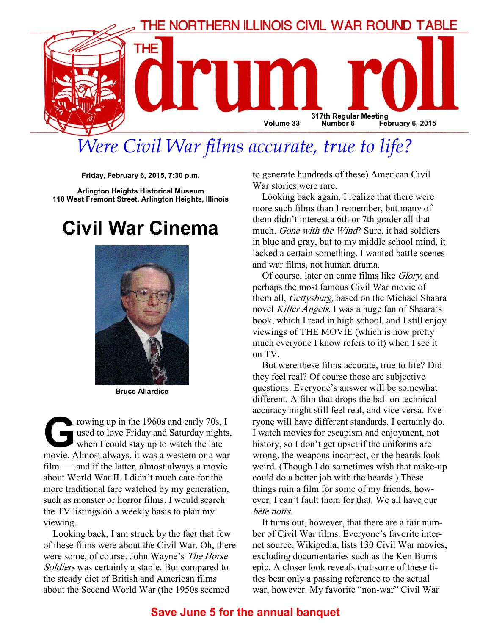

# Were Civil War films accurate, true to life?

Friday, February 6, 2015, 7:30 p.m.

Arlington Heights Historical Museum 110 West Fremont Street, Arlington Heights, Illinois

# Civil War Cinema



Bruce Allardice

Franch Company in the 1960s and early 70s, I<br>used to love Friday and Saturday nights<br>when I could stay up to watch the late<br>movie Almost always it was a western or a war used to love Friday and Saturday nights, when I could stay up to watch the late movie. Almost always, it was a western or a war film — and if the latter, almost always a movie about World War II. I didn't much care for the more traditional fare watched by my generation, such as monster or horror films. I would search the TV listings on a weekly basis to plan my viewing.

Looking back, I am struck by the fact that few of these films were about the Civil War. Oh, there were some, of course. John Wayne's The Horse Soldiers was certainly a staple. But compared to the steady diet of British and American films about the Second World War (the 1950s seemed

to generate hundreds of these) American Civil War stories were rare.

Looking back again, I realize that there were more such films than I remember, but many of them didn't interest a 6th or 7th grader all that much. Gone with the Wind? Sure, it had soldiers in blue and gray, but to my middle school mind, it lacked a certain something. I wanted battle scenes and war films, not human drama.

Of course, later on came films like Glory, and perhaps the most famous Civil War movie of them all, Gettysburg, based on the Michael Shaara novel Killer Angels. I was a huge fan of Shaara's book, which I read in high school, and I still enjoy viewings of THE MOVIE (which is how pretty much everyone I know refers to it) when I see it on TV.

But were these films accurate, true to life? Did they feel real? Of course those are subjective questions. Everyone's answer will be somewhat different. A film that drops the ball on technical accuracy might still feel real, and vice versa. Everyone will have different standards. I certainly do. I watch movies for escapism and enjoyment, not history, so I don't get upset if the uniforms are wrong, the weapons incorrect, or the beards look weird. (Though I do sometimes wish that make-up could do a better job with the beards.) These things ruin a film for some of my friends, however. I can't fault them for that. We all have our bête noirs.

It turns out, however, that there are a fair number of Civil War films. Everyone's favorite internet source, Wikipedia, lists 130 Civil War movies, excluding documentaries such as the Ken Burns epic. A closer look reveals that some of these titles bear only a passing reference to the actual war, however. My favorite "non-war" Civil War

#### Save June 5 for the annual banquet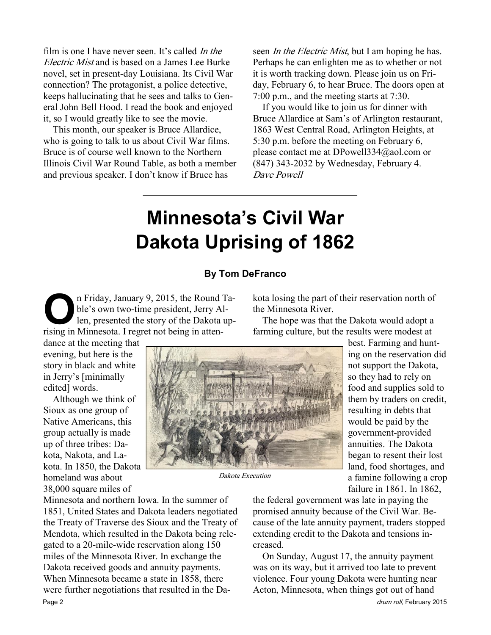film is one I have never seen. It's called In the Electric Mist and is based on a James Lee Burke novel, set in present-day Louisiana. Its Civil War connection? The protagonist, a police detective, keeps hallucinating that he sees and talks to General John Bell Hood. I read the book and enjoyed it, so I would greatly like to see the movie.

This month, our speaker is Bruce Allardice, who is going to talk to us about Civil War films. Bruce is of course well known to the Northern Illinois Civil War Round Table, as both a member and previous speaker. I don't know if Bruce has

seen *In the Electric Mist*, but I am hoping he has. Perhaps he can enlighten me as to whether or not it is worth tracking down. Please join us on Friday, February 6, to hear Bruce. The doors open at 7:00 p.m., and the meeting starts at 7:30.

If you would like to join us for dinner with Bruce Allardice at Sam's of Arlington restaurant, 1863 West Central Road, Arlington Heights, at 5:30 p.m. before the meeting on February 6, please contact me at DPowell334@aol.com or (847) 343-2032 by Wednesday, February 4. — Dave Powell

# Minnesota's Civil War Dakota Uprising of 1862

#### By Tom DeFranco

On Friday, January 9, 2015, the Round Table's own two-time president, Jerry Allen, presented the story of the Dakota uprising in Minnesota I regret not being in attenble's own two-time president, Jerry Allen, presented the story of the Dakota uprising in Minnesota. I regret not being in atten-

dance at the meeting that evening, but here is the story in black and white in Jerry's [minimally edited] words.

Although we think of Sioux as one group of Native Americans, this group actually is made up of three tribes: Dakota, Nakota, and Lakota. In 1850, the Dakota homeland was about 38,000 square miles of

kota losing the part of their reservation north of the Minnesota River.

The hope was that the Dakota would adopt a farming culture, but the results were modest at



Dakota Execution

best. Farming and hunting on the reservation did not support the Dakota, so they had to rely on food and supplies sold to them by traders on credit, resulting in debts that would be paid by the government-provided annuities. The Dakota began to resent their lost land, food shortages, and a famine following a crop failure in 1861. In 1862,

Minnesota and northern Iowa. In the summer of 1851, United States and Dakota leaders negotiated the Treaty of Traverse des Sioux and the Treaty of Mendota, which resulted in the Dakota being relegated to a 20-mile-wide reservation along 150 miles of the Minnesota River. In exchange the Dakota received goods and annuity payments. When Minnesota became a state in 1858, there were further negotiations that resulted in the Da-Page 2 drum roll, February 2015

the federal government was late in paying the promised annuity because of the Civil War. Because of the late annuity payment, traders stopped extending credit to the Dakota and tensions increased.

On Sunday, August 17, the annuity payment was on its way, but it arrived too late to prevent violence. Four young Dakota were hunting near Acton, Minnesota, when things got out of hand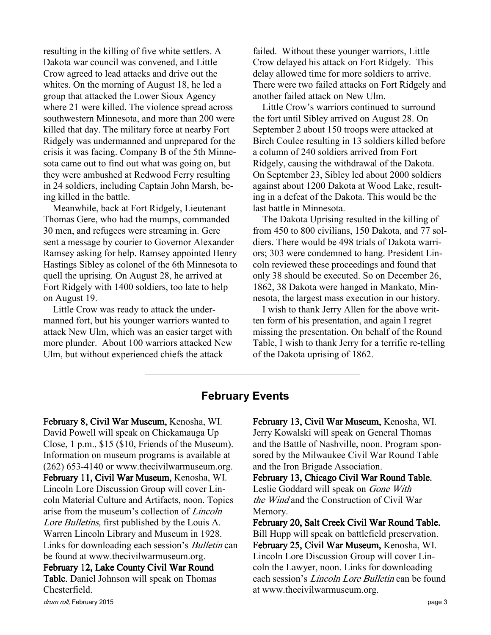resulting in the killing of five white settlers. A Dakota war council was convened, and Little Crow agreed to lead attacks and drive out the whites. On the morning of August 18, he led a group that attacked the Lower Sioux Agency where 21 were killed. The violence spread across southwestern Minnesota, and more than 200 were killed that day. The military force at nearby Fort Ridgely was undermanned and unprepared for the crisis it was facing. Company B of the 5th Minnesota came out to find out what was going on, but they were ambushed at Redwood Ferry resulting in 24 soldiers, including Captain John Marsh, being killed in the battle.

Meanwhile, back at Fort Ridgely, Lieutenant Thomas Gere, who had the mumps, commanded 30 men, and refugees were streaming in. Gere sent a message by courier to Governor Alexander Ramsey asking for help. Ramsey appointed Henry Hastings Sibley as colonel of the 6th Minnesota to quell the uprising. On August 28, he arrived at Fort Ridgely with 1400 soldiers, too late to help on August 19.

Little Crow was ready to attack the undermanned fort, but his younger warriors wanted to attack New Ulm, which was an easier target with more plunder. About 100 warriors attacked New Ulm, but without experienced chiefs the attack

failed. Without these younger warriors, Little Crow delayed his attack on Fort Ridgely. This delay allowed time for more soldiers to arrive. There were two failed attacks on Fort Ridgely and another failed attack on New Ulm.

Little Crow's warriors continued to surround the fort until Sibley arrived on August 28. On September 2 about 150 troops were attacked at Birch Coulee resulting in 13 soldiers killed before a column of 240 soldiers arrived from Fort Ridgely, causing the withdrawal of the Dakota. On September 23, Sibley led about 2000 soldiers against about 1200 Dakota at Wood Lake, resulting in a defeat of the Dakota. This would be the last battle in Minnesota.

The Dakota Uprising resulted in the killing of from 450 to 800 civilians, 150 Dakota, and 77 soldiers. There would be 498 trials of Dakota warriors; 303 were condemned to hang. President Lincoln reviewed these proceedings and found that only 38 should be executed. So on December 26, 1862, 38 Dakota were hanged in Mankato, Minnesota, the largest mass execution in our history.

I wish to thank Jerry Allen for the above written form of his presentation, and again I regret missing the presentation. On behalf of the Round Table, I wish to thank Jerry for a terrific re-telling of the Dakota uprising of 1862.

### February Events

February 8, Civil War Museum, Kenosha, WI. David Powell will speak on Chickamauga Up Close, 1 p.m., \$15 (\$10, Friends of the Museum). Information on museum programs is available at (262) 653-4140 or www.thecivilwarmuseum.org. February 11, Civil War Museum, Kenosha, WI. Lincoln Lore Discussion Group will cover Lincoln Material Culture and Artifacts, noon. Topics arise from the museum's collection of Lincoln Lore Bulletins, first published by the Louis A. Warren Lincoln Library and Museum in 1928. Links for downloading each session's Bulletin can be found at www.thecivilwarmuseum.org. February 12, Lake County Civil War Round Table. Daniel Johnson will speak on Thomas Chesterfield.

February 13, Civil War Museum, Kenosha, WI. Jerry Kowalski will speak on General Thomas and the Battle of Nashville, noon. Program sponsored by the Milwaukee Civil War Round Table and the Iron Brigade Association.

February 13, Chicago Civil War Round Table. Leslie Goddard will speak on Gone With the Wind and the Construction of Civil War Memory.

February 20, Salt Creek Civil War Round Table. Bill Hupp will speak on battlefield preservation. February 25, Civil War Museum, Kenosha, WI. Lincoln Lore Discussion Group will cover Lincoln the Lawyer, noon. Links for downloading each session's Lincoln Lore Bulletin can be found at www.thecivilwarmuseum.org.